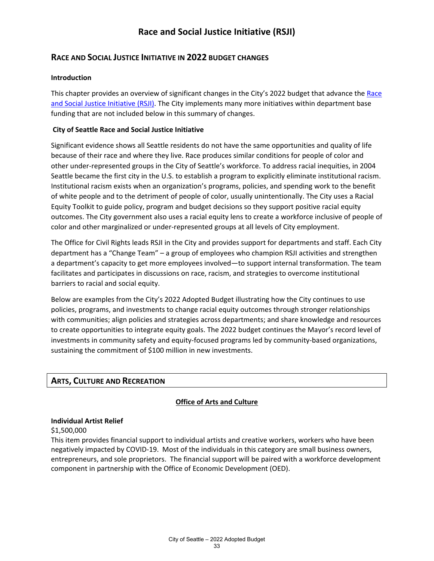## **RACE AND SOCIAL JUSTICE INITIATIVE IN 2022 BUDGET CHANGES**

## **Introduction**

This chapter provides an overview of significant changes in the City's 2022 budget that advance the Race [and Social Justice Initiative \(RSJI\).](http://www.seattle.gov/rsji) The City implements many more initiatives within department base funding that are not included below in this summary of changes.

### **City of Seattle Race and Social Justice Initiative**

Significant evidence shows all Seattle residents do not have the same opportunities and quality of life because of their race and where they live. Race produces similar conditions for people of color and other under-represented groups in the City of Seattle's workforce. To address racial inequities, in 2004 Seattle became the first city in the U.S. to establish a program to explicitly eliminate institutional racism. Institutional racism exists when an organization's programs, policies, and spending work to the benefit of white people and to the detriment of people of color, usually unintentionally. The City uses a Racial Equity Toolkit to guide policy, program and budget decisions so they support positive racial equity outcomes. The City government also uses a racial equity lens to create a workforce inclusive of people of color and other marginalized or under-represented groups at all levels of City employment.

The Office for Civil Rights leads RSJI in the City and provides support for departments and staff. Each City department has a "Change Team" – a group of employees who champion RSJI activities and strengthen a department's capacity to get more employees involved—to support internal transformation. The team facilitates and participates in discussions on race, racism, and strategies to overcome institutional barriers to racial and social equity.

Below are examples from the City's 2022 Adopted Budget illustrating how the City continues to use policies, programs, and investments to change racial equity outcomes through stronger relationships with communities; align policies and strategies across departments; and share knowledge and resources to create opportunities to integrate equity goals. The 2022 budget continues the Mayor's record level of investments in community safety and equity-focused programs led by community-based organizations, sustaining the commitment of \$100 million in new investments.

## **ARTS, CULTURE AND RECREATION**

## **Office of Arts and Culture**

#### **Individual Artist Relief**

#### \$1,500,000

This item provides financial support to individual artists and creative workers, workers who have been negatively impacted by COVID-19. Most of the individuals in this category are small business owners, entrepreneurs, and sole proprietors. The financial support will be paired with a workforce development component in partnership with the Office of Economic Development (OED).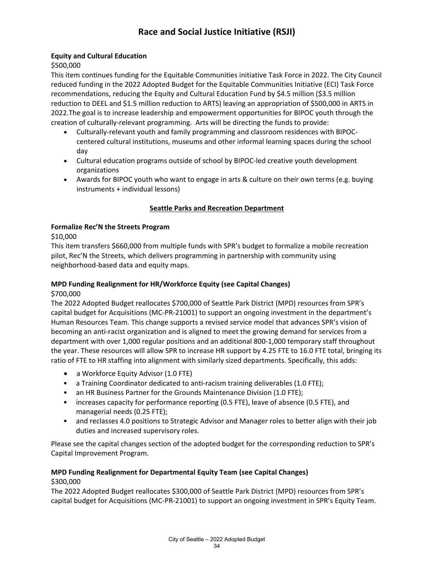## **Equity and Cultural Education**

\$500,000

This item continues funding for the Equitable Communities initiative Task Force in 2022. The City Council reduced funding in the 2022 Adopted Budget for the Equitable Communities Initiative (ECI) Task Force recommendations, reducing the Equity and Cultural Education Fund by \$4.5 million (\$3.5 million reduction to DEEL and \$1.5 million reduction to ARTS) leaving an appropriation of \$500,000 in ARTS in 2022.The goal is to increase leadership and empowerment opportunities for BIPOC youth through the creation of culturally-relevant programming. Arts will be directing the funds to provide:

- Culturally-relevant youth and family programming and classroom residences with BIPOCcentered cultural institutions, museums and other informal learning spaces during the school day
- Cultural education programs outside of school by BIPOC-led creative youth development organizations
- Awards for BIPOC youth who want to engage in arts & culture on their own terms (e.g. buying instruments + individual lessons)

## **Seattle Parks and Recreation Department**

## **Formalize Rec'N the Streets Program**

\$10,000

This item transfers \$660,000 from multiple funds with SPR's budget to formalize a mobile recreation pilot, Rec'N the Streets, which delivers programming in partnership with community using neighborhood-based data and equity maps.

## **MPD Funding Realignment for HR/Workforce Equity (see Capital Changes)**

\$700,000

The 2022 Adopted Budget reallocates \$700,000 of Seattle Park District (MPD) resources from SPR's capital budget for Acquisitions (MC-PR-21001) to support an ongoing investment in the department's Human Resources Team. This change supports a revised service model that advances SPR's vision of becoming an anti-racist organization and is aligned to meet the growing demand for services from a department with over 1,000 regular positions and an additional 800-1,000 temporary staff throughout the year. These resources will allow SPR to increase HR support by 4.25 FTE to 16.0 FTE total, bringing its ratio of FTE to HR staffing into alignment with similarly sized departments. Specifically, this adds:

- a Workforce Equity Advisor (1.0 FTE)
- a Training Coordinator dedicated to anti-racism training deliverables (1.0 FTE);
- an HR Business Partner for the Grounds Maintenance Division (1.0 FTE);
- increases capacity for performance reporting (0.5 FTE), leave of absence (0.5 FTE), and managerial needs (0.25 FTE);
- and reclasses 4.0 positions to Strategic Advisor and Manager roles to better align with their job duties and increased supervisory roles.

Please see the capital changes section of the adopted budget for the corresponding reduction to SPR's Capital Improvement Program.

### **MPD Funding Realignment for Departmental Equity Team (see Capital Changes)** \$300,000

The 2022 Adopted Budget reallocates \$300,000 of Seattle Park District (MPD) resources from SPR's capital budget for Acquisitions (MC-PR-21001) to support an ongoing investment in SPR's Equity Team.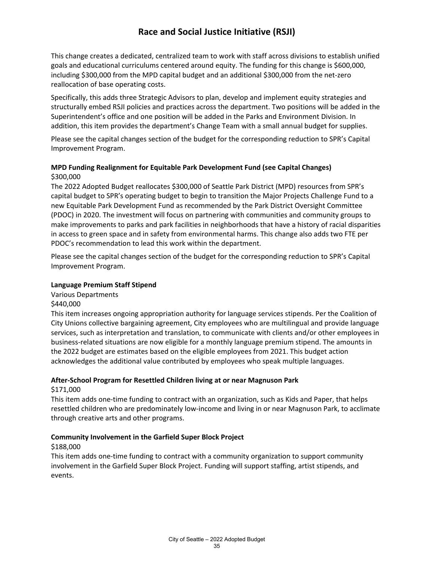This change creates a dedicated, centralized team to work with staff across divisions to establish unified goals and educational curriculums centered around equity. The funding for this change is \$600,000, including \$300,000 from the MPD capital budget and an additional \$300,000 from the net-zero reallocation of base operating costs.

Specifically, this adds three Strategic Advisors to plan, develop and implement equity strategies and structurally embed RSJI policies and practices across the department. Two positions will be added in the Superintendent's office and one position will be added in the Parks and Environment Division. In addition, this item provides the department's Change Team with a small annual budget for supplies.

Please see the capital changes section of the budget for the corresponding reduction to SPR's Capital Improvement Program.

## **MPD Funding Realignment for Equitable Park Development Fund (see Capital Changes)** \$300,000

The 2022 Adopted Budget reallocates \$300,000 of Seattle Park District (MPD) resources from SPR's capital budget to SPR's operating budget to begin to transition the Major Projects Challenge Fund to a new Equitable Park Development Fund as recommended by the Park District Oversight Committee (PDOC) in 2020. The investment will focus on partnering with communities and community groups to make improvements to parks and park facilities in neighborhoods that have a history of racial disparities in access to green space and in safety from environmental harms. This change also adds two FTE per PDOC's recommendation to lead this work within the department.

Please see the capital changes section of the budget for the corresponding reduction to SPR's Capital Improvement Program.

#### **Language Premium Staff Stipend**

Various Departments

#### \$440,000

This item increases ongoing appropriation authority for language services stipends. Per the Coalition of City Unions collective bargaining agreement, City employees who are multilingual and provide language services, such as interpretation and translation, to communicate with clients and/or other employees in business-related situations are now eligible for a monthly language premium stipend. The amounts in the 2022 budget are estimates based on the eligible employees from 2021. This budget action acknowledges the additional value contributed by employees who speak multiple languages.

#### **After-School Program for Resettled Children living at or near Magnuson Park**

#### \$171,000

This item adds one-time funding to contract with an organization, such as Kids and Paper, that helps resettled children who are predominately low-income and living in or near Magnuson Park, to acclimate through creative arts and other programs.

#### **Community Involvement in the Garfield Super Block Project**

#### \$188,000

This item adds one-time funding to contract with a community organization to support community involvement in the Garfield Super Block Project. Funding will support staffing, artist stipends, and events.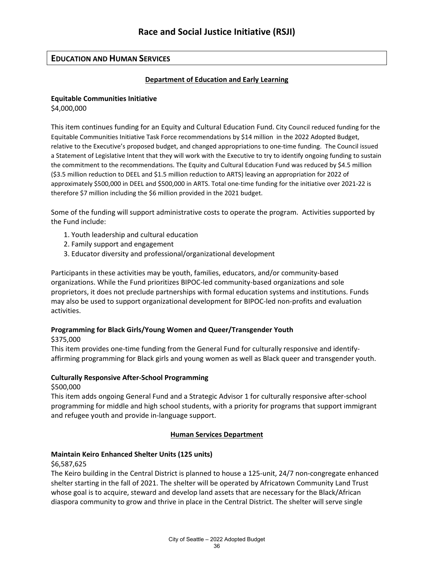## **EDUCATION AND HUMAN SERVICES**

## **Department of Education and Early Learning**

#### **Equitable Communities Initiative**

\$4,000,000

This item continues funding for an Equity and Cultural Education Fund. City Council reduced funding for the Equitable Communities Initiative Task Force recommendations by \$14 million in the 2022 Adopted Budget, relative to the Executive's proposed budget, and changed appropriations to one-time funding. The Council issued a Statement of Legislative Intent that they will work with the Executive to try to identify ongoing funding to sustain the commitment to the recommendations. The Equity and Cultural Education Fund was reduced by \$4.5 million (\$3.5 million reduction to DEEL and \$1.5 million reduction to ARTS) leaving an appropriation for 2022 of approximately \$500,000 in DEEL and \$500,000 in ARTS. Total one-time funding for the initiative over 2021-22 is therefore \$7 million including the \$6 million provided in the 2021 budget.

Some of the funding will support administrative costs to operate the program. Activities supported by the Fund include:

- 1. Youth leadership and cultural education
- 2. Family support and engagement
- 3. Educator diversity and professional/organizational development

Participants in these activities may be youth, families, educators, and/or community-based organizations. While the Fund prioritizes BIPOC-led community-based organizations and sole proprietors, it does not preclude partnerships with formal education systems and institutions. Funds may also be used to support organizational development for BIPOC-led non-profits and evaluation activities.

#### **Programming for Black Girls/Young Women and Queer/Transgender Youth**

#### \$375,000

This item provides one-time funding from the General Fund for culturally responsive and identifyaffirming programming for Black girls and young women as well as Black queer and transgender youth.

#### **Culturally Responsive After-School Programming**

#### \$500,000

This item adds ongoing General Fund and a Strategic Advisor 1 for culturally responsive after-school programming for middle and high school students, with a priority for programs that support immigrant and refugee youth and provide in-language support.

#### **Human Services Department**

#### **Maintain Keiro Enhanced Shelter Units (125 units)**

#### \$6,587,625

The Keiro building in the Central District is planned to house a 125-unit, 24/7 non-congregate enhanced shelter starting in the fall of 2021. The shelter will be operated by Africatown Community Land Trust whose goal is to acquire, steward and develop land assets that are necessary for the Black/African diaspora community to grow and thrive in place in the Central District. The shelter will serve single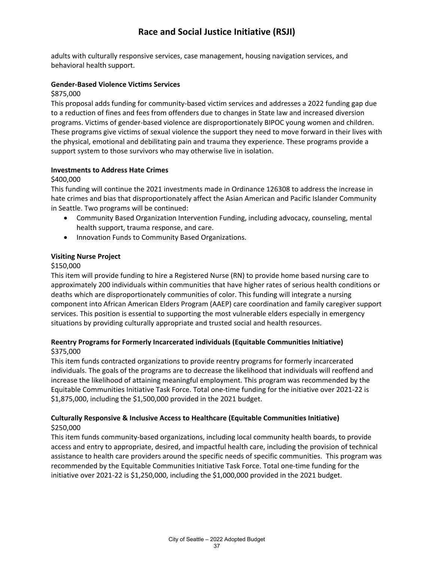adults with culturally responsive services, case management, housing navigation services, and behavioral health support.

#### **Gender-Based Violence Victims Services**

\$875,000

This proposal adds funding for community-based victim services and addresses a 2022 funding gap due to a reduction of fines and fees from offenders due to changes in State law and increased diversion programs. Victims of gender-based violence are disproportionately BIPOC young women and children. These programs give victims of sexual violence the support they need to move forward in their lives with the physical, emotional and debilitating pain and trauma they experience. These programs provide a support system to those survivors who may otherwise live in isolation.

#### **Investments to Address Hate Crimes**

#### \$400,000

This funding will continue the 2021 investments made in Ordinance 126308 to address the increase in hate crimes and bias that disproportionately affect the Asian American and Pacific Islander Community in Seattle. Two programs will be continued:

- Community Based Organization Intervention Funding, including advocacy, counseling, mental health support, trauma response, and care.
- Innovation Funds to Community Based Organizations.

#### **Visiting Nurse Project**

#### \$150,000

This item will provide funding to hire a Registered Nurse (RN) to provide home based nursing care to approximately 200 individuals within communities that have higher rates of serious health conditions or deaths which are disproportionately communities of color. This funding will integrate a nursing component into African American Elders Program (AAEP) care coordination and family caregiver support services. This position is essential to supporting the most vulnerable elders especially in emergency situations by providing culturally appropriate and trusted social and health resources.

## **Reentry Programs for Formerly Incarcerated individuals (Equitable Communities Initiative)** \$375,000

This item funds contracted organizations to provide reentry programs for formerly incarcerated individuals. The goals of the programs are to decrease the likelihood that individuals will reoffend and increase the likelihood of attaining meaningful employment. This program was recommended by the Equitable Communities Initiative Task Force. Total one-time funding for the initiative over 2021-22 is \$1,875,000, including the \$1,500,000 provided in the 2021 budget.

## **Culturally Responsive & Inclusive Access to Healthcare (Equitable Communities Initiative)** \$250,000

This item funds community-based organizations, including local community health boards, to provide access and entry to appropriate, desired, and impactful health care, including the provision of technical assistance to health care providers around the specific needs of specific communities. This program was recommended by the Equitable Communities Initiative Task Force. Total one-time funding for the initiative over 2021-22 is \$1,250,000, including the \$1,000,000 provided in the 2021 budget.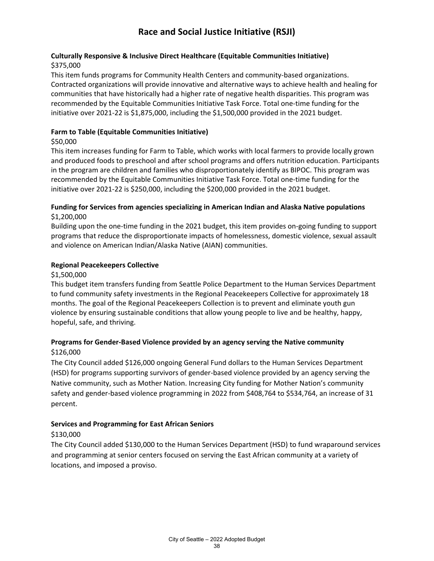## **Culturally Responsive & Inclusive Direct Healthcare (Equitable Communities Initiative)** \$375,000

This item funds programs for Community Health Centers and community-based organizations. Contracted organizations will provide innovative and alternative ways to achieve health and healing for communities that have historically had a higher rate of negative health disparities. This program was recommended by the Equitable Communities Initiative Task Force. Total one-time funding for the initiative over 2021-22 is \$1,875,000, including the \$1,500,000 provided in the 2021 budget.

#### **Farm to Table (Equitable Communities Initiative)**

### \$50,000

This item increases funding for Farm to Table, which works with local farmers to provide locally grown and produced foods to preschool and after school programs and offers nutrition education. Participants in the program are children and families who disproportionately identify as BIPOC. This program was recommended by the Equitable Communities Initiative Task Force. Total one-time funding for the initiative over 2021-22 is \$250,000, including the \$200,000 provided in the 2021 budget.

## **Funding for Services from agencies specializing in American Indian and Alaska Native populations** \$1,200,000

Building upon the one-time funding in the 2021 budget, this item provides on-going funding to support programs that reduce the disproportionate impacts of homelessness, domestic violence, sexual assault and violence on American Indian/Alaska Native (AIAN) communities.

## **Regional Peacekeepers Collective**

#### \$1,500,000

This budget item transfers funding from Seattle Police Department to the Human Services Department to fund community safety investments in the Regional Peacekeepers Collective for approximately 18 months. The goal of the Regional Peacekeepers Collection is to prevent and eliminate youth gun violence by ensuring sustainable conditions that allow young people to live and be healthy, happy, hopeful, safe, and thriving.

## **Programs for Gender-Based Violence provided by an agency serving the Native community**  \$126,000

The City Council added \$126,000 ongoing General Fund dollars to the Human Services Department (HSD) for programs supporting survivors of gender-based violence provided by an agency serving the Native community, such as Mother Nation. Increasing City funding for Mother Nation's community safety and gender-based violence programming in 2022 from \$408,764 to \$534,764, an increase of 31 percent.

#### **Services and Programming for East African Seniors**

## \$130,000

The City Council added \$130,000 to the Human Services Department (HSD) to fund wraparound services and programming at senior centers focused on serving the East African community at a variety of locations, and imposed a proviso.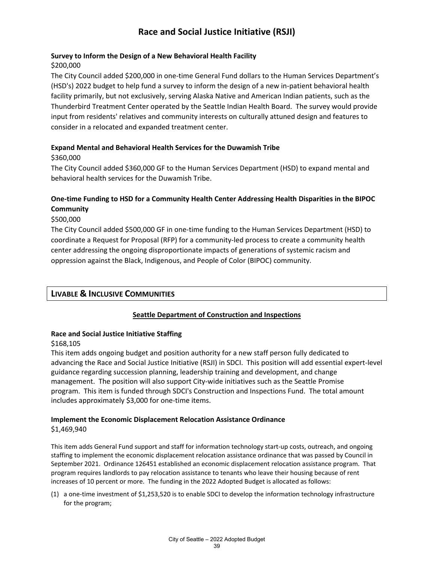#### **Survey to Inform the Design of a New Behavioral Health Facility** \$200,000

The City Council added \$200,000 in one-time General Fund dollars to the Human Services Department's (HSD's) 2022 budget to help fund a survey to inform the design of a new in-patient behavioral health facility primarily, but not exclusively, serving Alaska Native and American Indian patients, such as the Thunderbird Treatment Center operated by the Seattle Indian Health Board. The survey would provide input from residents' relatives and community interests on culturally attuned design and features to consider in a relocated and expanded treatment center.

#### **Expand Mental and Behavioral Health Services for the Duwamish Tribe**

#### \$360,000

The City Council added \$360,000 GF to the Human Services Department (HSD) to expand mental and behavioral health services for the Duwamish Tribe.

## **One-time Funding to HSD for a Community Health Center Addressing Health Disparities in the BIPOC Community**

#### \$500,000

The City Council added \$500,000 GF in one-time funding to the Human Services Department (HSD) to coordinate a Request for Proposal (RFP) for a community-led process to create a community health center addressing the ongoing disproportionate impacts of generations of systemic racism and oppression against the Black, Indigenous, and People of Color (BIPOC) community.

## **LIVABLE & INCLUSIVE COMMUNITIES**

#### **Seattle Department of Construction and Inspections**

#### **Race and Social Justice Initiative Staffing**

#### \$168,105

This item adds ongoing budget and position authority for a new staff person fully dedicated to advancing the Race and Social Justice Initiative (RSJI) in SDCI. This position will add essential expert-level guidance regarding succession planning, leadership training and development, and change management. The position will also support City-wide initiatives such as the Seattle Promise program. This item is funded through SDCI's Construction and Inspections Fund. The total amount includes approximately \$3,000 for one-time items.

#### **Implement the Economic Displacement Relocation Assistance Ordinance** \$1,469,940

This item adds General Fund support and staff for information technology start-up costs, outreach, and ongoing staffing to implement the economic displacement relocation assistance ordinance that was passed by Council in September 2021. Ordinance 126451 established an economic displacement relocation assistance program. That program requires landlords to pay relocation assistance to tenants who leave their housing because of rent increases of 10 percent or more. The funding in the 2022 Adopted Budget is allocated as follows:

(1) a one-time investment of \$1,253,520 is to enable SDCI to develop the information technology infrastructure for the program;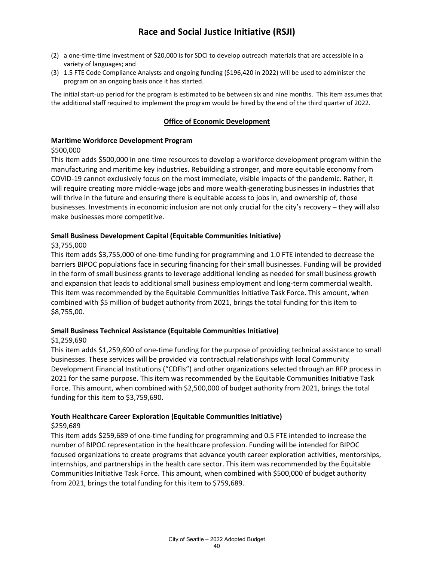- (2) a one-time-time investment of \$20,000 is for SDCI to develop outreach materials that are accessible in a variety of languages; and
- (3) 1.5 FTE Code Compliance Analysts and ongoing funding (\$196,420 in 2022) will be used to administer the program on an ongoing basis once it has started.

The initial start-up period for the program is estimated to be between six and nine months. This item assumes that the additional staff required to implement the program would be hired by the end of the third quarter of 2022.

#### **Office of Economic Development**

#### **Maritime Workforce Development Program**

#### \$500,000

This item adds \$500,000 in one-time resources to develop a workforce development program within the manufacturing and maritime key industries. Rebuilding a stronger, and more equitable economy from COVID-19 cannot exclusively focus on the most immediate, visible impacts of the pandemic. Rather, it will require creating more middle-wage jobs and more wealth-generating businesses in industries that will thrive in the future and ensuring there is equitable access to jobs in, and ownership of, those businesses. Investments in economic inclusion are not only crucial for the city's recovery – they will also make businesses more competitive.

## **Small Business Development Capital (Equitable Communities Initiative)**

#### \$3,755,000

This item adds \$3,755,000 of one-time funding for programming and 1.0 FTE intended to decrease the barriers BIPOC populations face in securing financing for their small businesses. Funding will be provided in the form of small business grants to leverage additional lending as needed for small business growth and expansion that leads to additional small business employment and long-term commercial wealth. This item was recommended by the Equitable Communities Initiative Task Force. This amount, when combined with \$5 million of budget authority from 2021, brings the total funding for this item to \$8,755,00.

#### **Small Business Technical Assistance (Equitable Communities Initiative)**

#### \$1,259,690

This item adds \$1,259,690 of one-time funding for the purpose of providing technical assistance to small businesses. These services will be provided via contractual relationships with local Community Development Financial Institutions ("CDFIs") and other organizations selected through an RFP process in 2021 for the same purpose. This item was recommended by the Equitable Communities Initiative Task Force. This amount, when combined with \$2,500,000 of budget authority from 2021, brings the total funding for this item to \$3,759,690.

#### **Youth Healthcare Career Exploration (Equitable Communities Initiative)** \$259,689

This item adds \$259,689 of one-time funding for programming and 0.5 FTE intended to increase the number of BIPOC representation in the healthcare profession. Funding will be intended for BIPOC focused organizations to create programs that advance youth career exploration activities, mentorships, internships, and partnerships in the health care sector. This item was recommended by the Equitable Communities Initiative Task Force. This amount, when combined with \$500,000 of budget authority from 2021, brings the total funding for this item to \$759,689.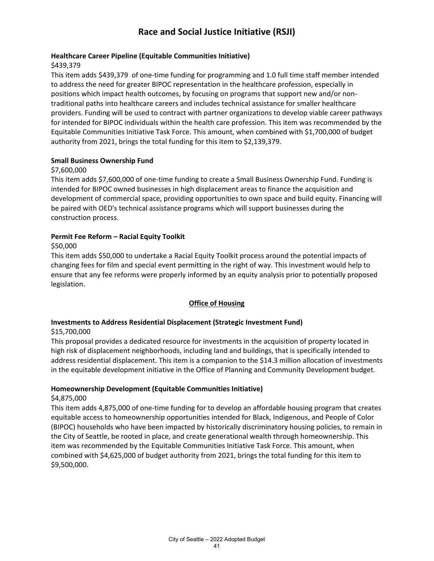#### **Healthcare Career Pipeline (Equitable Communities Initiative)**

## \$439,379

This item adds \$439,379 of one-time funding for programming and 1.0 full time staff member intended to address the need for greater BIPOC representation in the healthcare profession, especially in positions which impact health outcomes, by focusing on programs that support new and/or nontraditional paths into healthcare careers and includes technical assistance for smaller healthcare providers. Funding will be used to contract with partner organizations to develop viable career pathways for intended for BIPOC individuals within the health care profession. This item was recommended by the Equitable Communities Initiative Task Force. This amount, when combined with \$1,700,000 of budget authority from 2021, brings the total funding for this item to \$2,139,379.

#### **Small Business Ownership Fund**

## \$7,600,000

This item adds \$7,600,000 of one-time funding to create a Small Business Ownership Fund. Funding is intended for BIPOC owned businesses in high displacement areas to finance the acquisition and development of commercial space, providing opportunities to own space and build equity. Financing will be paired with OED's technical assistance programs which will support businesses during the construction process.

## **Permit Fee Reform – Racial Equity Toolkit**

\$50,000

This item adds \$50,000 to undertake a Racial Equity Toolkit process around the potential impacts of changing fees for film and special event permitting in the right of way. This investment would help to ensure that any fee reforms were properly informed by an equity analysis prior to potentially proposed legislation.

## **Office of Housing**

# **Investments to Address Residential Displacement (Strategic Investment Fund)**

### \$15,700,000

This proposal provides a dedicated resource for investments in the acquisition of property located in high risk of displacement neighborhoods, including land and buildings, that is specifically intended to address residential displacement. This item is a companion to the \$14.3 million allocation of investments in the equitable development initiative in the Office of Planning and Community Development budget.

## **Homeownership Development (Equitable Communities Initiative)**

#### \$4,875,000

This item adds 4,875,000 of one-time funding for to develop an affordable housing program that creates equitable access to homeownership opportunities intended for Black, Indigenous, and People of Color (BIPOC) households who have been impacted by historically discriminatory housing policies, to remain in the City of Seattle, be rooted in place, and create generational wealth through homeownership. This item was recommended by the Equitable Communities Initiative Task Force. This amount, when combined with \$4,625,000 of budget authority from 2021, brings the total funding for this item to \$9,500,000.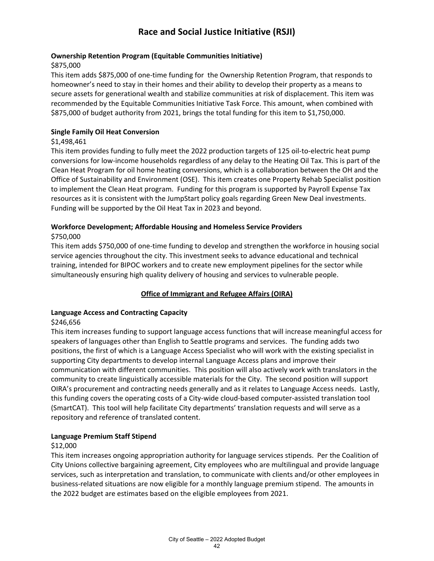## **Ownership Retention Program (Equitable Communities Initiative)**

### \$875,000

This item adds \$875,000 of one-time funding for the Ownership Retention Program, that responds to homeowner's need to stay in their homes and their ability to develop their property as a means to secure assets for generational wealth and stabilize communities at risk of displacement. This item was recommended by the Equitable Communities Initiative Task Force. This amount, when combined with \$875,000 of budget authority from 2021, brings the total funding for this item to \$1,750,000.

## **Single Family Oil Heat Conversion**

## \$1,498,461

This item provides funding to fully meet the 2022 production targets of 125 oil-to-electric heat pump conversions for low-income households regardless of any delay to the Heating Oil Tax. This is part of the Clean Heat Program for oil home heating conversions, which is a collaboration between the OH and the Office of Sustainability and Environment (OSE). This item creates one Property Rehab Specialist position to implement the Clean Heat program. Funding for this program is supported by Payroll Expense Tax resources as it is consistent with the JumpStart policy goals regarding Green New Deal investments. Funding will be supported by the Oil Heat Tax in 2023 and beyond.

## **Workforce Development; Affordable Housing and Homeless Service Providers**

## \$750,000

This item adds \$750,000 of one-time funding to develop and strengthen the workforce in housing social service agencies throughout the city. This investment seeks to advance educational and technical training, intended for BIPOC workers and to create new employment pipelines for the sector while simultaneously ensuring high quality delivery of housing and services to vulnerable people.

## **Office of Immigrant and Refugee Affairs (OIRA)**

## **Language Access and Contracting Capacity**

#### \$246,656

This item increases funding to support language access functions that will increase meaningful access for speakers of languages other than English to Seattle programs and services. The funding adds two positions, the first of which is a Language Access Specialist who will work with the existing specialist in supporting City departments to develop internal Language Access plans and improve their communication with different communities. This position will also actively work with translators in the community to create linguistically accessible materials for the City. The second position will support OIRA's procurement and contracting needs generally and as it relates to Language Access needs. Lastly, this funding covers the operating costs of a City-wide cloud-based computer-assisted translation tool (SmartCAT). This tool will help facilitate City departments' translation requests and will serve as a repository and reference of translated content.

## **Language Premium Staff Stipend**

## \$12,000

This item increases ongoing appropriation authority for language services stipends. Per the Coalition of City Unions collective bargaining agreement, City employees who are multilingual and provide language services, such as interpretation and translation, to communicate with clients and/or other employees in business-related situations are now eligible for a monthly language premium stipend. The amounts in the 2022 budget are estimates based on the eligible employees from 2021.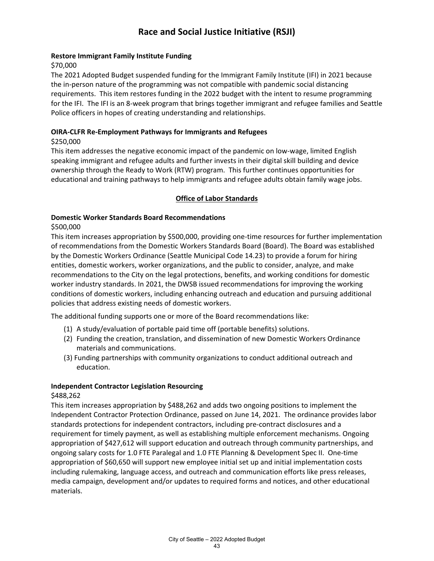#### **Restore Immigrant Family Institute Funding**

\$70,000

The 2021 Adopted Budget suspended funding for the Immigrant Family Institute (IFI) in 2021 because the in-person nature of the programming was not compatible with pandemic social distancing requirements. This item restores funding in the 2022 budget with the intent to resume programming for the IFI. The IFI is an 8-week program that brings together immigrant and refugee families and Seattle Police officers in hopes of creating understanding and relationships.

#### **OIRA-CLFR Re-Employment Pathways for Immigrants and Refugees**

#### \$250,000

This item addresses the negative economic impact of the pandemic on low-wage, limited English speaking immigrant and refugee adults and further invests in their digital skill building and device ownership through the Ready to Work (RTW) program. This further continues opportunities for educational and training pathways to help immigrants and refugee adults obtain family wage jobs.

#### **Office of Labor Standards**

#### **Domestic Worker Standards Board Recommendations**

\$500,000

This item increases appropriation by \$500,000, providing one-time resources for further implementation of recommendations from the Domestic Workers Standards Board (Board). The Board was established by the Domestic Workers Ordinance (Seattle Municipal Code 14.23) to provide a forum for hiring entities, domestic workers, worker organizations, and the public to consider, analyze, and make recommendations to the City on the legal protections, benefits, and working conditions for domestic worker industry standards. In 2021, the DWSB issued recommendations for improving the working conditions of domestic workers, including enhancing outreach and education and pursuing additional policies that address existing needs of domestic workers.

The additional funding supports one or more of the Board recommendations like:

- (1) A study/evaluation of portable paid time off (portable benefits) solutions.
- (2) Funding the creation, translation, and dissemination of new Domestic Workers Ordinance materials and communications.
- (3) Funding partnerships with community organizations to conduct additional outreach and education.

#### **Independent Contractor Legislation Resourcing**

#### \$488,262

This item increases appropriation by \$488,262 and adds two ongoing positions to implement the Independent Contractor Protection Ordinance, passed on June 14, 2021. The ordinance provides labor standards protections for independent contractors, including pre-contract disclosures and a requirement for timely payment, as well as establishing multiple enforcement mechanisms. Ongoing appropriation of \$427,612 will support education and outreach through community partnerships, and ongoing salary costs for 1.0 FTE Paralegal and 1.0 FTE Planning & Development Spec II. One-time appropriation of \$60,650 will support new employee initial set up and initial implementation costs including rulemaking, language access, and outreach and communication efforts like press releases, media campaign, development and/or updates to required forms and notices, and other educational materials.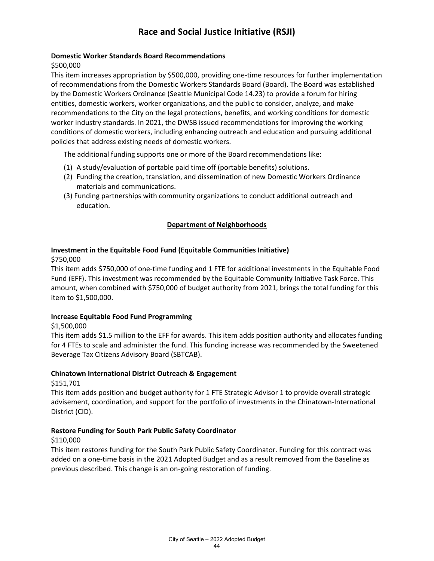#### **Domestic Worker Standards Board Recommendations**

#### \$500,000

This item increases appropriation by \$500,000, providing one-time resources for further implementation of recommendations from the Domestic Workers Standards Board (Board). The Board was established by the Domestic Workers Ordinance (Seattle Municipal Code 14.23) to provide a forum for hiring entities, domestic workers, worker organizations, and the public to consider, analyze, and make recommendations to the City on the legal protections, benefits, and working conditions for domestic worker industry standards. In 2021, the DWSB issued recommendations for improving the working conditions of domestic workers, including enhancing outreach and education and pursuing additional policies that address existing needs of domestic workers.

The additional funding supports one or more of the Board recommendations like:

- (1) A study/evaluation of portable paid time off (portable benefits) solutions.
- (2) Funding the creation, translation, and dissemination of new Domestic Workers Ordinance materials and communications.
- (3) Funding partnerships with community organizations to conduct additional outreach and education.

#### **Department of Neighborhoods**

## **Investment in the Equitable Food Fund (Equitable Communities Initiative)**

#### \$750,000

This item adds \$750,000 of one-time funding and 1 FTE for additional investments in the Equitable Food Fund (EFF). This investment was recommended by the Equitable Community Initiative Task Force. This amount, when combined with \$750,000 of budget authority from 2021, brings the total funding for this item to \$1,500,000.

#### **Increase Equitable Food Fund Programming**

#### \$1,500,000

This item adds \$1.5 million to the EFF for awards. This item adds position authority and allocates funding for 4 FTEs to scale and administer the fund. This funding increase was recommended by the Sweetened Beverage Tax Citizens Advisory Board (SBTCAB).

#### **Chinatown International District Outreach & Engagement**

#### \$151,701

This item adds position and budget authority for 1 FTE Strategic Advisor 1 to provide overall strategic advisement, coordination, and support for the portfolio of investments in the Chinatown-International District (CID).

#### **Restore Funding for South Park Public Safety Coordinator**

#### \$110,000

This item restores funding for the South Park Public Safety Coordinator. Funding for this contract was added on a one-time basis in the 2021 Adopted Budget and as a result removed from the Baseline as previous described. This change is an on-going restoration of funding.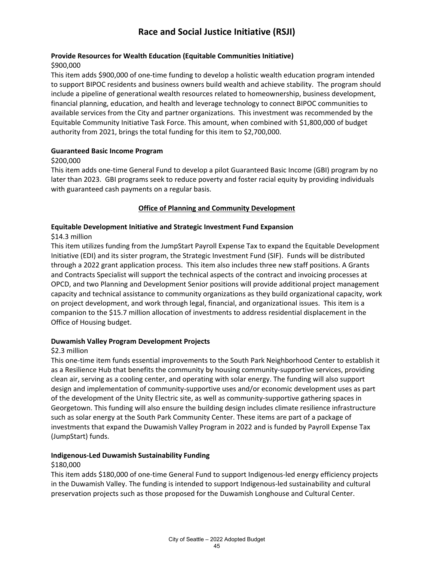## **Provide Resources for Wealth Education (Equitable Communities Initiative)**

### \$900,000

This item adds \$900,000 of one-time funding to develop a holistic wealth education program intended to support BIPOC residents and business owners build wealth and achieve stability. The program should include a pipeline of generational wealth resources related to homeownership, business development, financial planning, education, and health and leverage technology to connect BIPOC communities to available services from the City and partner organizations. This investment was recommended by the Equitable Community Initiative Task Force. This amount, when combined with \$1,800,000 of budget authority from 2021, brings the total funding for this item to \$2,700,000.

#### **Guaranteed Basic Income Program**

#### \$200,000

This item adds one-time General Fund to develop a pilot Guaranteed Basic Income (GBI) program by no later than 2023. GBI programs seek to reduce poverty and foster racial equity by providing individuals with guaranteed cash payments on a regular basis.

## **Office of Planning and Community Development**

#### **Equitable Development Initiative and Strategic Investment Fund Expansion**

## \$14.3 million

This item utilizes funding from the JumpStart Payroll Expense Tax to expand the Equitable Development Initiative (EDI) and its sister program, the Strategic Investment Fund (SIF). Funds will be distributed through a 2022 grant application process. This item also includes three new staff positions. A Grants and Contracts Specialist will support the technical aspects of the contract and invoicing processes at OPCD, and two Planning and Development Senior positions will provide additional project management capacity and technical assistance to community organizations as they build organizational capacity, work on project development, and work through legal, financial, and organizational issues. This item is a companion to the \$15.7 million allocation of investments to address residential displacement in the Office of Housing budget.

#### **Duwamish Valley Program Development Projects**

## \$2.3 million

This one-time item funds essential improvements to the South Park Neighborhood Center to establish it as a Resilience Hub that benefits the community by housing community-supportive services, providing clean air, serving as a cooling center, and operating with solar energy. The funding will also support design and implementation of community-supportive uses and/or economic development uses as part of the development of the Unity Electric site, as well as community-supportive gathering spaces in Georgetown. This funding will also ensure the building design includes climate resilience infrastructure such as solar energy at the South Park Community Center. These items are part of a package of investments that expand the Duwamish Valley Program in 2022 and is funded by Payroll Expense Tax (JumpStart) funds.

## **Indigenous-Led Duwamish Sustainability Funding**

#### \$180,000

This item adds \$180,000 of one-time General Fund to support Indigenous-led energy efficiency projects in the Duwamish Valley. The funding is intended to support Indigenous-led sustainability and cultural preservation projects such as those proposed for the Duwamish Longhouse and Cultural Center.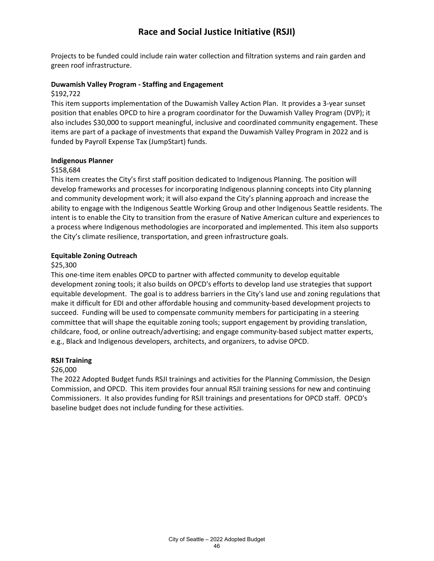Projects to be funded could include rain water collection and filtration systems and rain garden and green roof infrastructure.

#### **Duwamish Valley Program - Staffing and Engagement**

#### \$192,722

This item supports implementation of the Duwamish Valley Action Plan. It provides a 3-year sunset position that enables OPCD to hire a program coordinator for the Duwamish Valley Program (DVP); it also includes \$30,000 to support meaningful, inclusive and coordinated community engagement. These items are part of a package of investments that expand the Duwamish Valley Program in 2022 and is funded by Payroll Expense Tax (JumpStart) funds.

#### **Indigenous Planner**

#### \$158,684

This item creates the City's first staff position dedicated to Indigenous Planning. The position will develop frameworks and processes for incorporating Indigenous planning concepts into City planning and community development work; it will also expand the City's planning approach and increase the ability to engage with the Indigenous Seattle Working Group and other Indigenous Seattle residents. The intent is to enable the City to transition from the erasure of Native American culture and experiences to a process where Indigenous methodologies are incorporated and implemented. This item also supports the City's climate resilience, transportation, and green infrastructure goals.

#### **Equitable Zoning Outreach**

#### \$25,300

This one-time item enables OPCD to partner with affected community to develop equitable development zoning tools; it also builds on OPCD's efforts to develop land use strategies that support equitable development. The goal is to address barriers in the City's land use and zoning regulations that make it difficult for EDI and other affordable housing and community-based development projects to succeed. Funding will be used to compensate community members for participating in a steering committee that will shape the equitable zoning tools; support engagement by providing translation, childcare, food, or online outreach/advertising; and engage community-based subject matter experts, e.g., Black and Indigenous developers, architects, and organizers, to advise OPCD.

#### **RSJI Training**

#### \$26,000

The 2022 Adopted Budget funds RSJI trainings and activities for the Planning Commission, the Design Commission, and OPCD. This item provides four annual RSJI training sessions for new and continuing Commissioners. It also provides funding for RSJI trainings and presentations for OPCD staff. OPCD's baseline budget does not include funding for these activities.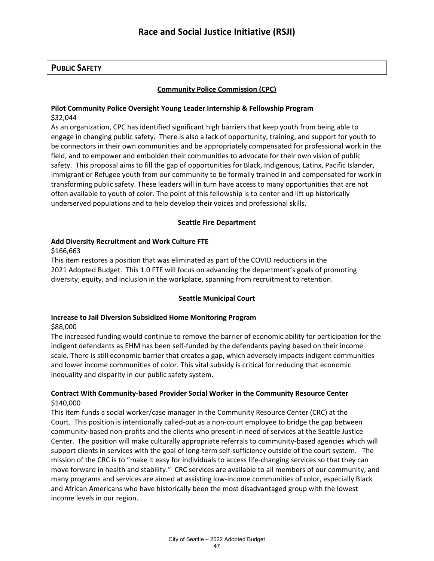## **PUBLIC SAFETY**

## **Community Police Commission (CPC)**

### **Pilot Community Police Oversight Young Leader Internship & Fellowship Program** \$32,044

As an organization, CPC has identified significant high barriers that keep youth from being able to engage in changing public safety. There is also a lack of opportunity, training, and support for youth to be connectors in their own communities and be appropriately compensated for professional work in the field, and to empower and embolden their communities to advocate for their own vision of public safety. This proposal aims to fill the gap of opportunities for Black, Indigenous, Latinx, Pacific Islander, Immigrant or Refugee youth from our community to be formally trained in and compensated for work in transforming public safety. These leaders will in turn have access to many opportunities that are not often available to youth of color. The point of this fellowship is to center and lift up historically underserved populations and to help develop their voices and professional skills.

## **Seattle Fire Department**

#### **Add Diversity Recruitment and Work Culture FTE**

\$166,663

This item restores a position that was eliminated as part of the COVID reductions in the 2021 Adopted Budget. This 1.0 FTE will focus on advancing the department's goals of promoting diversity, equity, and inclusion in the workplace, spanning from recruitment to retention.

## **Seattle Municipal Court**

#### **Increase to Jail Diversion Subsidized Home Monitoring Program** \$88,000

The increased funding would continue to remove the barrier of economic ability for participation for the indigent defendants as EHM has been self-funded by the defendants paying based on their income scale. There is still economic barrier that creates a gap, which adversely impacts indigent communities and lower income communities of color. This vital subsidy is critical for reducing that economic inequality and disparity in our public safety system.

## **Contract With Community-based Provider Social Worker in the Community Resource Center** \$140,000

This item funds a social worker/case manager in the Community Resource Center (CRC) at the Court. This position is intentionally called-out as a non-court employee to bridge the gap between community-based non-profits and the clients who present in need of services at the Seattle Justice Center. The position will make culturally appropriate referrals to community-based agencies which will support clients in services with the goal of long-term self-sufficiency outside of the court system. The mission of the CRC is to "make it easy for individuals to access life-changing services so that they can move forward in health and stability." CRC services are available to all members of our community, and many programs and services are aimed at assisting low-income communities of color, especially Black and African Americans who have historically been the most disadvantaged group with the lowest income levels in our region.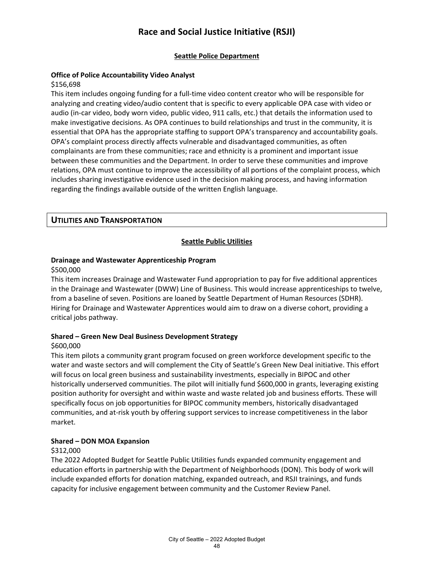#### **Seattle Police Department**

#### **Office of Police Accountability Video Analyst**

#### \$156,698

This item includes ongoing funding for a full-time video content creator who will be responsible for analyzing and creating video/audio content that is specific to every applicable OPA case with video or audio (in-car video, body worn video, public video, 911 calls, etc.) that details the information used to make investigative decisions. As OPA continues to build relationships and trust in the community, it is essential that OPA has the appropriate staffing to support OPA's transparency and accountability goals. OPA's complaint process directly affects vulnerable and disadvantaged communities, as often complainants are from these communities; race and ethnicity is a prominent and important issue between these communities and the Department. In order to serve these communities and improve relations, OPA must continue to improve the accessibility of all portions of the complaint process, which includes sharing investigative evidence used in the decision making process, and having information regarding the findings available outside of the written English language.

## **UTILITIES AND TRANSPORTATION**

#### **Seattle Public Utilities**

#### **Drainage and Wastewater Apprenticeship Program**

#### \$500,000

This item increases Drainage and Wastewater Fund appropriation to pay for five additional apprentices in the Drainage and Wastewater (DWW) Line of Business. This would increase apprenticeships to twelve, from a baseline of seven. Positions are loaned by Seattle Department of Human Resources (SDHR). Hiring for Drainage and Wastewater Apprentices would aim to draw on a diverse cohort, providing a critical jobs pathway.

#### **Shared – Green New Deal Business Development Strategy**

#### \$600,000

This item pilots a community grant program focused on green workforce development specific to the water and waste sectors and will complement the City of Seattle's Green New Deal initiative. This effort will focus on local green business and sustainability investments, especially in BIPOC and other historically underserved communities. The pilot will initially fund \$600,000 in grants, leveraging existing position authority for oversight and within waste and waste related job and business efforts. These will specifically focus on job opportunities for BIPOC community members, historically disadvantaged communities, and at-risk youth by offering support services to increase competitiveness in the labor market.

#### **Shared – DON MOA Expansion**

#### \$312,000

The 2022 Adopted Budget for Seattle Public Utilities funds expanded community engagement and education efforts in partnership with the Department of Neighborhoods (DON). This body of work will include expanded efforts for donation matching, expanded outreach, and RSJI trainings, and funds capacity for inclusive engagement between community and the Customer Review Panel.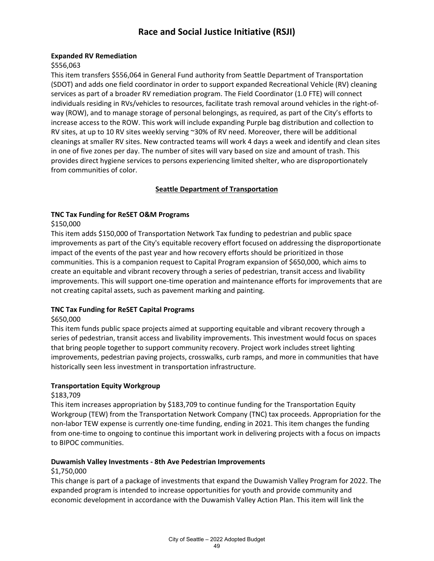#### **Expanded RV Remediation**

#### \$556,063

This item transfers \$556,064 in General Fund authority from Seattle Department of Transportation (SDOT) and adds one field coordinator in order to support expanded Recreational Vehicle (RV) cleaning services as part of a broader RV remediation program. The Field Coordinator (1.0 FTE) will connect individuals residing in RVs/vehicles to resources, facilitate trash removal around vehicles in the right-ofway (ROW), and to manage storage of personal belongings, as required, as part of the City's efforts to increase access to the ROW. This work will include expanding Purple bag distribution and collection to RV sites, at up to 10 RV sites weekly serving ~30% of RV need. Moreover, there will be additional cleanings at smaller RV sites. New contracted teams will work 4 days a week and identify and clean sites in one of five zones per day. The number of sites will vary based on size and amount of trash. This provides direct hygiene services to persons experiencing limited shelter, who are disproportionately from communities of color.

#### **Seattle Department of Transportation**

#### **TNC Tax Funding for ReSET O&M Programs**

#### \$150,000

This item adds \$150,000 of Transportation Network Tax funding to pedestrian and public space improvements as part of the City's equitable recovery effort focused on addressing the disproportionate impact of the events of the past year and how recovery efforts should be prioritized in those communities. This is a companion request to Capital Program expansion of \$650,000, which aims to create an equitable and vibrant recovery through a series of pedestrian, transit access and livability improvements. This will support one-time operation and maintenance efforts for improvements that are not creating capital assets, such as pavement marking and painting.

#### **TNC Tax Funding for ReSET Capital Programs**

#### \$650,000

This item funds public space projects aimed at supporting equitable and vibrant recovery through a series of pedestrian, transit access and livability improvements. This investment would focus on spaces that bring people together to support community recovery. Project work includes street lighting improvements, pedestrian paving projects, crosswalks, curb ramps, and more in communities that have historically seen less investment in transportation infrastructure.

#### **Transportation Equity Workgroup**

#### \$183,709

This item increases appropriation by \$183,709 to continue funding for the Transportation Equity Workgroup (TEW) from the Transportation Network Company (TNC) tax proceeds. Appropriation for the non-labor TEW expense is currently one-time funding, ending in 2021. This item changes the funding from one-time to ongoing to continue this important work in delivering projects with a focus on impacts to BIPOC communities.

#### **Duwamish Valley Investments - 8th Ave Pedestrian Improvements**

#### \$1,750,000

This change is part of a package of investments that expand the Duwamish Valley Program for 2022. The expanded program is intended to increase opportunities for youth and provide community and economic development in accordance with the Duwamish Valley Action Plan. This item will link the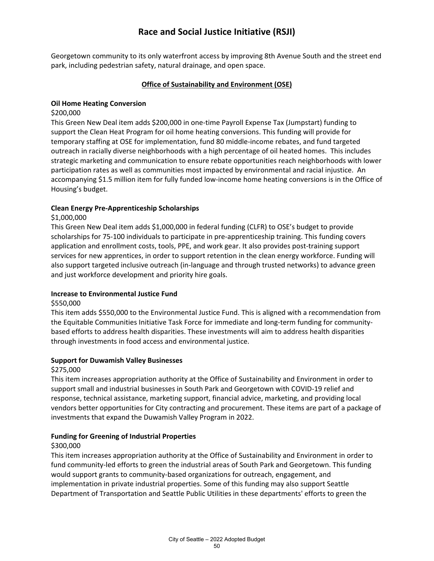Georgetown community to its only waterfront access by improving 8th Avenue South and the street end park, including pedestrian safety, natural drainage, and open space.

### **Office of Sustainability and Environment (OSE)**

### **Oil Home Heating Conversion**

#### \$200,000

This Green New Deal item adds \$200,000 in one-time Payroll Expense Tax (Jumpstart) funding to support the Clean Heat Program for oil home heating conversions. This funding will provide for temporary staffing at OSE for implementation, fund 80 middle-income rebates, and fund targeted outreach in racially diverse neighborhoods with a high percentage of oil heated homes. This includes strategic marketing and communication to ensure rebate opportunities reach neighborhoods with lower participation rates as well as communities most impacted by environmental and racial injustice. An accompanying \$1.5 million item for fully funded low-income home heating conversions is in the Office of Housing's budget.

## **Clean Energy Pre-Apprenticeship Scholarships**

## \$1,000,000

This Green New Deal item adds \$1,000,000 in federal funding (CLFR) to OSE's budget to provide scholarships for 75-100 individuals to participate in pre-apprenticeship training. This funding covers application and enrollment costs, tools, PPE, and work gear. It also provides post-training support services for new apprentices, in order to support retention in the clean energy workforce. Funding will also support targeted inclusive outreach (in-language and through trusted networks) to advance green and just workforce development and priority hire goals.

#### **Increase to Environmental Justice Fund**

#### \$550,000

This item adds \$550,000 to the Environmental Justice Fund. This is aligned with a recommendation from the Equitable Communities Initiative Task Force for immediate and long-term funding for communitybased efforts to address health disparities. These investments will aim to address health disparities through investments in food access and environmental justice.

#### **Support for Duwamish Valley Businesses**

#### \$275,000

This item increases appropriation authority at the Office of Sustainability and Environment in order to support small and industrial businesses in South Park and Georgetown with COVID-19 relief and response, technical assistance, marketing support, financial advice, marketing, and providing local vendors better opportunities for City contracting and procurement. These items are part of a package of investments that expand the Duwamish Valley Program in 2022.

## **Funding for Greening of Industrial Properties**

#### \$300,000

This item increases appropriation authority at the Office of Sustainability and Environment in order to fund community-led efforts to green the industrial areas of South Park and Georgetown. This funding would support grants to community-based organizations for outreach, engagement, and implementation in private industrial properties. Some of this funding may also support Seattle Department of Transportation and Seattle Public Utilities in these departments' efforts to green the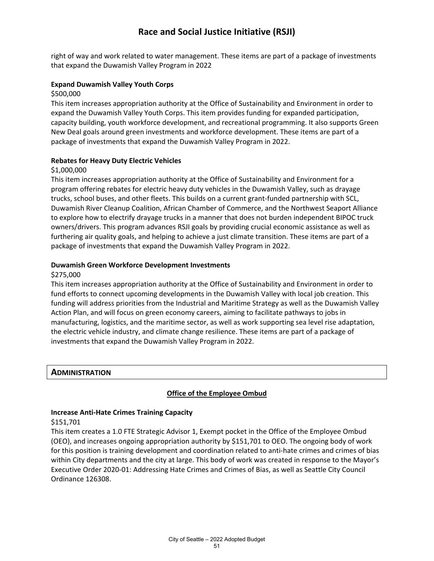right of way and work related to water management. These items are part of a package of investments that expand the Duwamish Valley Program in 2022

#### **Expand Duwamish Valley Youth Corps**

\$500,000

This item increases appropriation authority at the Office of Sustainability and Environment in order to expand the Duwamish Valley Youth Corps. This item provides funding for expanded participation, capacity building, youth workforce development, and recreational programming. It also supports Green New Deal goals around green investments and workforce development. These items are part of a package of investments that expand the Duwamish Valley Program in 2022.

#### **Rebates for Heavy Duty Electric Vehicles**

\$1,000,000

This item increases appropriation authority at the Office of Sustainability and Environment for a program offering rebates for electric heavy duty vehicles in the Duwamish Valley, such as drayage trucks, school buses, and other fleets. This builds on a current grant-funded partnership with SCL, Duwamish River Cleanup Coalition, African Chamber of Commerce, and the Northwest Seaport Alliance to explore how to electrify drayage trucks in a manner that does not burden independent BIPOC truck owners/drivers. This program advances RSJI goals by providing crucial economic assistance as well as furthering air quality goals, and helping to achieve a just climate transition. These items are part of a package of investments that expand the Duwamish Valley Program in 2022.

#### **Duwamish Green Workforce Development Investments**

#### \$275,000

This item increases appropriation authority at the Office of Sustainability and Environment in order to fund efforts to connect upcoming developments in the Duwamish Valley with local job creation. This funding will address priorities from the Industrial and Maritime Strategy as well as the Duwamish Valley Action Plan, and will focus on green economy careers, aiming to facilitate pathways to jobs in manufacturing, logistics, and the maritime sector, as well as work supporting sea level rise adaptation, the electric vehicle industry, and climate change resilience. These items are part of a package of investments that expand the Duwamish Valley Program in 2022.

#### **ADMINISTRATION**

#### **Office of the Employee Ombud**

#### **Increase Anti-Hate Crimes Training Capacity**

#### \$151,701

This item creates a 1.0 FTE Strategic Advisor 1, Exempt pocket in the Office of the Employee Ombud (OEO), and increases ongoing appropriation authority by \$151,701 to OEO. The ongoing body of work for this position is training development and coordination related to anti-hate crimes and crimes of bias within City departments and the city at large. This body of work was created in response to the Mayor's Executive Order 2020-01: Addressing Hate Crimes and Crimes of Bias, as well as Seattle City Council Ordinance 126308.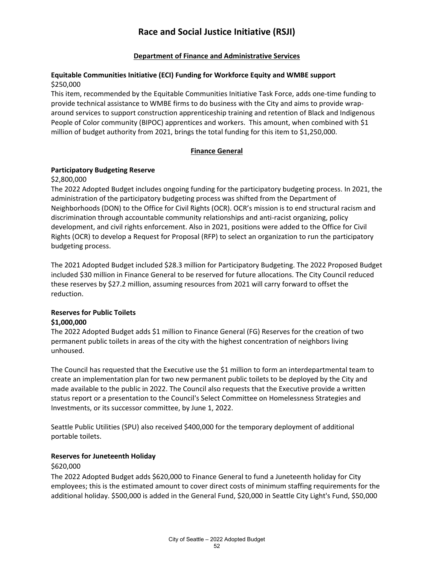### **Department of Finance and Administrative Services**

### **Equitable Communities Initiative (ECI) Funding for Workforce Equity and WMBE support**  \$250,000

This item, recommended by the Equitable Communities Initiative Task Force, adds one-time funding to provide technical assistance to WMBE firms to do business with the City and aims to provide wraparound services to support construction apprenticeship training and retention of Black and Indigenous People of Color community (BIPOC) apprentices and workers. This amount, when combined with \$1 million of budget authority from 2021, brings the total funding for this item to \$1,250,000.

#### **Finance General**

#### **Participatory Budgeting Reserve**

#### \$2,800,000

The 2022 Adopted Budget includes ongoing funding for the participatory budgeting process. In 2021, the administration of the participatory budgeting process was shifted from the Department of Neighborhoods (DON) to the Office for Civil Rights (OCR). OCR's mission is to end structural racism and discrimination through accountable community relationships and anti-racist organizing, policy development, and civil rights enforcement. Also in 2021, positions were added to the Office for Civil Rights (OCR) to develop a Request for Proposal (RFP) to select an organization to run the participatory budgeting process.

The 2021 Adopted Budget included \$28.3 million for Participatory Budgeting. The 2022 Proposed Budget included \$30 million in Finance General to be reserved for future allocations. The City Council reduced these reserves by \$27.2 million, assuming resources from 2021 will carry forward to offset the reduction.

#### **Reserves for Public Toilets \$1,000,000**

The 2022 Adopted Budget adds \$1 million to Finance General (FG) Reserves for the creation of two permanent public toilets in areas of the city with the highest concentration of neighbors living unhoused.

The Council has requested that the Executive use the \$1 million to form an interdepartmental team to create an implementation plan for two new permanent public toilets to be deployed by the City and made available to the public in 2022. The Council also requests that the Executive provide a written status report or a presentation to the Council's Select Committee on Homelessness Strategies and Investments, or its successor committee, by June 1, 2022.

Seattle Public Utilities (SPU) also received \$400,000 for the temporary deployment of additional portable toilets.

#### **Reserves for Juneteenth Holiday**

#### \$620,000

The 2022 Adopted Budget adds \$620,000 to Finance General to fund a Juneteenth holiday for City employees; this is the estimated amount to cover direct costs of minimum staffing requirements for the additional holiday. \$500,000 is added in the General Fund, \$20,000 in Seattle City Light's Fund, \$50,000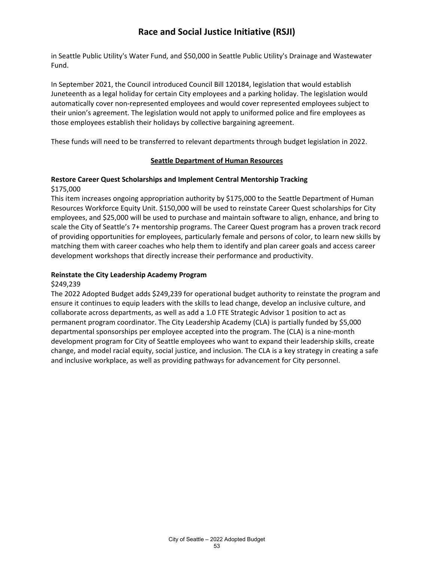in Seattle Public Utility's Water Fund, and \$50,000 in Seattle Public Utility's Drainage and Wastewater Fund.

In September 2021, the Council introduced Council Bill 120184, legislation that would establish Juneteenth as a legal holiday for certain City employees and a parking holiday. The legislation would automatically cover non-represented employees and would cover represented employees subject to their union's agreement. The legislation would not apply to uniformed police and fire employees as those employees establish their holidays by collective bargaining agreement.

These funds will need to be transferred to relevant departments through budget legislation in 2022.

#### **Seattle Department of Human Resources**

#### **Restore Career Quest Scholarships and Implement Central Mentorship Tracking** \$175,000

This item increases ongoing appropriation authority by \$175,000 to the Seattle Department of Human Resources Workforce Equity Unit. \$150,000 will be used to reinstate Career Quest scholarships for City employees, and \$25,000 will be used to purchase and maintain software to align, enhance, and bring to scale the City of Seattle's 7+ mentorship programs. The Career Quest program has a proven track record of providing opportunities for employees, particularly female and persons of color, to learn new skills by matching them with career coaches who help them to identify and plan career goals and access career development workshops that directly increase their performance and productivity.

#### **Reinstate the City Leadership Academy Program**

#### \$249,239

The 2022 Adopted Budget adds \$249,239 for operational budget authority to reinstate the program and ensure it continues to equip leaders with the skills to lead change, develop an inclusive culture, and collaborate across departments, as well as add a 1.0 FTE Strategic Advisor 1 position to act as permanent program coordinator. The City Leadership Academy (CLA) is partially funded by \$5,000 departmental sponsorships per employee accepted into the program. The (CLA) is a nine-month development program for City of Seattle employees who want to expand their leadership skills, create change, and model racial equity, social justice, and inclusion. The CLA is a key strategy in creating a safe and inclusive workplace, as well as providing pathways for advancement for City personnel.